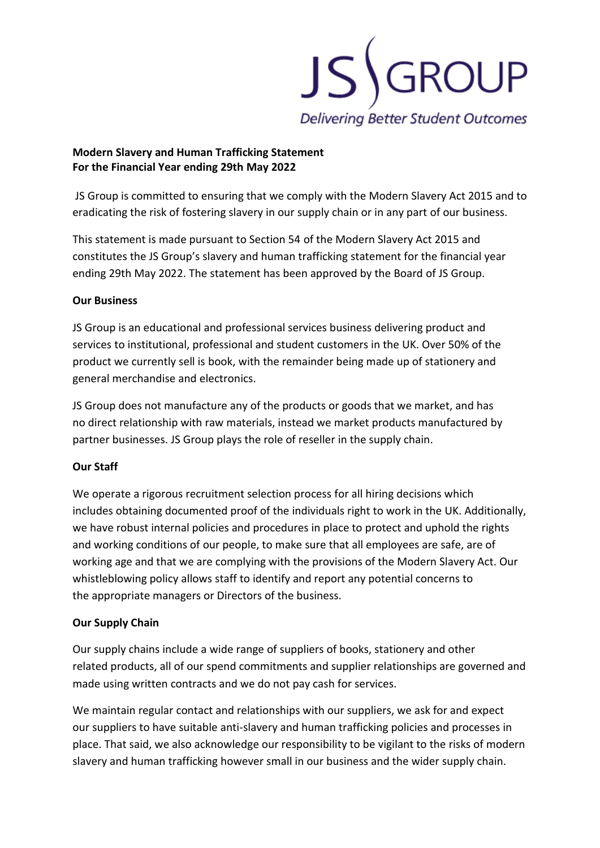

### **Modern Slavery and Human Trafficking Statement For the Financial Year ending 29th May 2022**

JS Group is committed to ensuring that we comply with the Modern Slavery Act 2015 and to eradicating the risk of fostering slavery in our supply chain or in any part of our business.

This statement is made pursuant to Section 54 of the Modern Slavery Act 2015 and constitutes the JS Group's slavery and human trafficking statement for the financial year ending 29th May 2022. The statement has been approved by the Board of JS Group.

### **Our Business**

JS Group is an educational and professional services business delivering product and services to institutional, professional and student customers in the UK. Over 50% of the product we currently sell is book, with the remainder being made up of stationery and general merchandise and electronics.

JS Group does not manufacture any of the products or goods that we market, and has no direct relationship with raw materials, instead we market products manufactured by partner businesses. JS Group plays the role of reseller in the supply chain.

# **Our Staff**

We operate a rigorous recruitment selection process for all hiring decisions which includes obtaining documented proof of the individuals right to work in the UK. Additionally, we have robust internal policies and procedures in place to protect and uphold the rights and working conditions of our people, to make sure that all employees are safe, are of working age and that we are complying with the provisions of the Modern Slavery Act. Our whistleblowing policy allows staff to identify and report any potential concerns to the appropriate managers or Directors of the business.

# **Our Supply Chain**

Our supply chains include a wide range of suppliers of books, stationery and other related products, all of our spend commitments and supplier relationships are governed and made using written contracts and we do not pay cash for services.

We maintain regular contact and relationships with our suppliers, we ask for and expect our suppliers to have suitable anti-slavery and human trafficking policies and processes in place. That said, we also acknowledge our responsibility to be vigilant to the risks of modern slavery and human trafficking however small in our business and the wider supply chain.